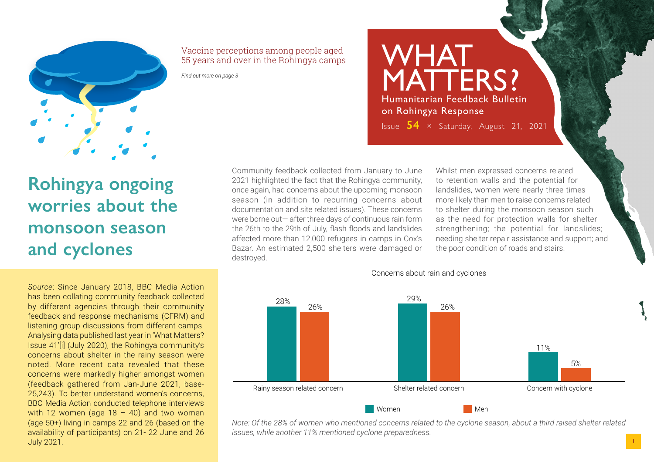

Vaccine perceptions among people aged 55 years and over in the Rohingya camps

*Find out more on page 3*

MATTERS? Humanitarian Feedback Bulletin on Rohingya Response Issue **54** × Saturday, August 21, 2021

WHAT

# **Rohingya ongoing worries about the monsoon season and cyclones**

*Source*: Since January 2018, BBC Media Action has been collating community feedback collected by different agencies through their community feedback and response mechanisms (CFRM) and listening group discussions from different camps. Analysing data published last year in 'What Matters? Issue 41'[i] (July 2020), the Rohingya community's concerns about shelter in the rainy season were noted. More recent data revealed that these concerns were markedly higher amongst women (feedback gathered from Jan-June 2021, base-25,243). To better understand women's concerns, BBC Media Action conducted telephone interviews with 12 women (age  $18 - 40$ ) and two women (age 50+) living in camps 22 and 26 (based on the availability of participants) on 21- 22 June and 26 July 2021.

Community feedback collected from January to June 2021 highlighted the fact that the Rohingya community, once again, had concerns about the upcoming monsoon season (in addition to recurring concerns about documentation and site related issues). These concerns were borne out— after three days of continuous rain form the 26th to the 29th of July, flash floods and landslides affected more than 12,000 refugees in camps in Cox's Bazar. An estimated 2,500 shelters were damaged or destroyed.

Whilst men expressed concerns related to retention walls and the potential for landslides, women were nearly three times more likely than men to raise concerns related to shelter during the monsoon season such as the need for protection walls for shelter strengthening; the potential for landslides; needing shelter repair assistance and support; and the poor condition of roads and stairs.



Concerns about rain and cyclones

*Note: Of the 28% of women who mentioned concerns related to the cyclone season, about a third raised shelter related issues, while another 11% mentioned cyclone preparedness.*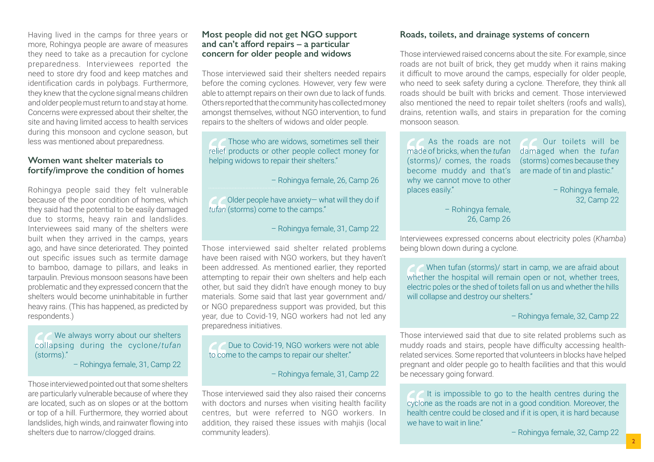Having lived in the camps for three years or more, Rohingya people are aware of measures they need to take as a precaution for cyclone preparedness. Interviewees reported the need to store dry food and keep matches and identification cards in polybags. Furthermore, they knew that the cyclone signal means children and older people must return to and stay at home. Concerns were expressed about their shelter, the site and having limited access to health services during this monsoon and cyclone season, but less was mentioned about preparedness.

# **Women want shelter materials to fortify/improve the condition of homes**

Rohingya people said they felt vulnerable because of the poor condition of homes, which they said had the potential to be easily damaged due to storms, heavy rain and landslides. Interviewees said many of the shelters were built when they arrived in the camps, years ago, and have since deteriorated. They pointed out specific issues such as termite damage to bamboo, damage to pillars, and leaks in tarpaulin. Previous monsoon seasons have been problematic and they expressed concern that the shelters would become uninhabitable in further heavy rains. (This has happened, as predicted by respondents.)

# We always worry about our shelters collapsing during the cyclone/*tufan* (storms)."

– Rohingya female, 31, Camp 22

Those interviewed pointed out that some shelters are particularly vulnerable because of where they are located, such as on slopes or at the bottom or top of a hill. Furthermore, they worried about landslides, high winds, and rainwater flowing into shelters due to narrow/clogged drains.

## **Most people did not get NGO support and can't afford repairs – a particular concern for older people and widows**

Those interviewed said their shelters needed repairs before the coming cyclones. However, very few were able to attempt repairs on their own due to lack of funds. Others reported that the community has collected money amongst themselves, without NGO intervention, to fund repairs to the shelters of widows and older people.

 Those who are widows, sometimes sell their relief products or other people collect money for helping widows to repair their shelters."

– Rohingya female, 26, Camp 26

 Older people have anxiety— what will they do if *tufan* (storms) come to the camps."

– Rohingya female, 31, Camp 22

Those interviewed said shelter related problems have been raised with NGO workers, but they haven't been addressed. As mentioned earlier, they reported attempting to repair their own shelters and help each other, but said they didn't have enough money to buy materials. Some said that last year government and/ or NGO preparedness support was provided, but this year, due to Covid-19, NGO workers had not led any preparedness initiatives.

 Due to Covid-19, NGO workers were not able to come to the camps to repair our shelter."

– Rohingya female, 31, Camp 22

Those interviewed said they also raised their concerns with doctors and nurses when visiting health facility centres, but were referred to NGO workers. In addition, they raised these issues with mahjis (local community leaders).

# **Roads, toilets, and drainage systems of concern**

Those interviewed raised concerns about the site. For example, since roads are not built of brick, they get muddy when it rains making it difficult to move around the camps, especially for older people, who need to seek safety during a cyclone. Therefore, they think all roads should be built with bricks and cement. Those interviewed also mentioned the need to repair toilet shelters (roofs and walls), drains, retention walls, and stairs in preparation for the coming monsoon season.

 As the roads are not made of bricks, when the *tufan* damaged when the *tufan* (storms)/ comes, the roads become muddy and that's are made of tin and plastic." why we cannot move to other places easily." Our toilets will be (storms) comes because they

– Rohingya female, 32, Camp 22

– Rohingya female, 26, Camp 26

Interviewees expressed concerns about electricity poles (*Khamba*) being blown down during a cyclone.

When tufan (storms)/ start in camp, we are afraid about whether the hospital will remain open or not, whether trees, electric poles or the shed of toilets fall on us and whether the hills will collapse and destroy our shelters."

– Rohingya female, 32, Camp 22

Those interviewed said that due to site related problems such as muddy roads and stairs, people have difficulty accessing healthrelated services. Some reported that volunteers in blocks have helped pregnant and older people go to health facilities and that this would be necessary going forward.

It is impossible to go to the health centres during the cyclone as the roads are not in a good condition. Moreover, the health centre could be closed and if it is open, it is hard because we have to wait in line."

– Rohingya female, 32, Camp 22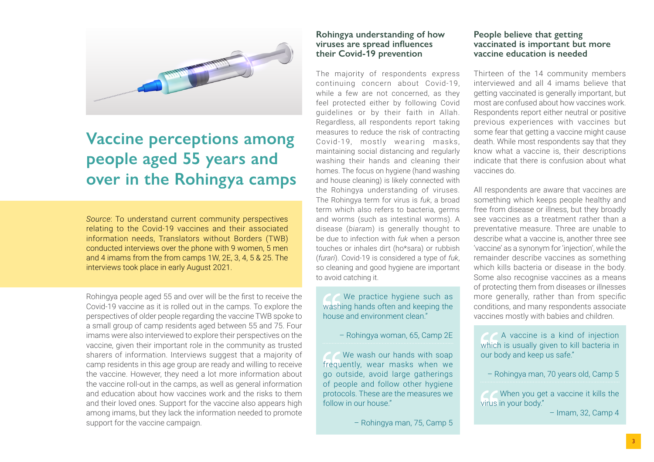

# **Vaccine perceptions among people aged 55 years and over in the Rohingya camps**

*Source*: To understand current community perspectives relating to the Covid-19 vaccines and their associated information needs, Translators without Borders (TWB) conducted interviews over the phone with 9 women, 5 men and 4 imams from the from camps 1W, 2E, 3, 4, 5 & 25. The interviews took place in early August 2021.

Rohingya people aged 55 and over will be the first to receive the Covid-19 vaccine as it is rolled out in the camps. To explore the perspectives of older people regarding the vaccine TWB spoke to a small group of camp residents aged between 55 and 75. Four imams were also interviewed to explore their perspectives on the vaccine, given their important role in the community as trusted sharers of information. Interviews suggest that a majority of camp residents in this age group are ready and willing to receive the vaccine. However, they need a lot more information about the vaccine roll-out in the camps, as well as general information and education about how vaccines work and the risks to them and their loved ones. Support for the vaccine also appears high among imams, but they lack the information needed to promote support for the vaccine campaign.

#### **Rohingya understanding of how viruses are spread influences their Covid-19 prevention**

The majority of respondents express continuing concern about Covid-19, while a few are not concerned, as they feel protected either by following Covid guidelines or by their faith in Allah. Regardless, all respondents report taking measures to reduce the risk of contracting Covid-19, mostly wearing masks, maintaining social distancing and regularly washing their hands and cleaning their homes. The focus on hygiene (hand washing and house cleaning) is likely connected with the Rohingya understanding of viruses. The Rohingya term for virus is *fuk*, a broad term which also refers to bacteria, germs and worms (such as intestinal worms). A disease (*biaram*) is generally thought to be due to infection with *fuk* when a person touches or inhales dirt (ho\*sara) or rubbish (*furari*). Covid-19 is considered a type of *fuk*, so cleaning and good hygiene are important to avoid catching it.

We practice hygiene such as washing hands often and keeping the house and environment clean."

– Rohingya woman, 65, Camp 2E

We wash our hands with soap frequently, wear masks when we go outside, avoid large gatherings of people and follow other hygiene protocols. These are the measures we follow in our house."

– Rohingya man, 75, Camp 5

# **People believe that getting vaccinated is important but more vaccine education is needed**

Thirteen of the 14 community members interviewed and all 4 imams believe that getting vaccinated is generally important, but most are confused about how vaccines work. Respondents report either neutral or positive previous experiences with vaccines but some fear that getting a vaccine might cause death. While most respondents say that they know what a vaccine is, their descriptions indicate that there is confusion about what vaccines do.

All respondents are aware that vaccines are something which keeps people healthy and free from disease or illness, but they broadly see vaccines as a treatment rather than a preventative measure. Three are unable to describe what a vaccine is, another three see 'vaccine' as a synonym for 'injection', while the remainder describe vaccines as something which kills bacteria or disease in the body. Some also recognise vaccines as a means of protecting them from diseases or illnesses more generally, rather than from specific conditions, and many respondents associate vaccines mostly with babies and children.

A vaccine is a kind of injection which is usually given to kill bacteria in our body and keep us safe."

– Rohingya man, 70 years old, Camp 5

When you get a vaccine it kills the virus in your body."

– Imam, 32, Camp 4